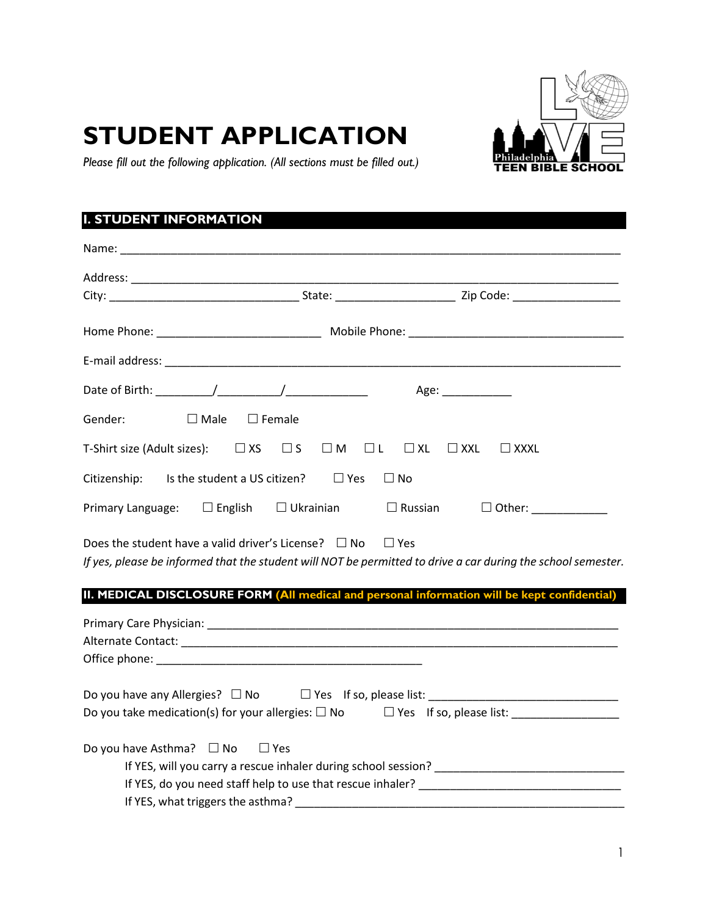# **STUDENT APPLICATION**



*Please fill out the following application. (All sections must be filled out.)*

# **I. STUDENT INFORMATION**

|         |                                                                  |                  |            | Age: ____________                                                                                            |
|---------|------------------------------------------------------------------|------------------|------------|--------------------------------------------------------------------------------------------------------------|
| Gender: | $\Box$ Male                                                      | $\square$ Female |            |                                                                                                              |
|         | T-Shirt size (Adult sizes): $\Box$ XS $\Box$ S $\Box$ M $\Box$ L |                  | $\Box$ XL  | $\square$ XXL<br>$\Box$ XXXL                                                                                 |
|         | Citizenship: Is the student a US citizen? $\Box$ Yes             |                  | $\Box$ No  |                                                                                                              |
|         |                                                                  |                  |            | Primary Language: $\square$ English $\square$ Ukrainian $\square$ Russian $\square$ Other:                   |
|         | Does the student have a valid driver's License? $\Box$ No        |                  | $\Box$ Yes | If yes, please be informed that the student will NOT be permitted to drive a car during the school semester. |
|         |                                                                  |                  |            | II. MEDICAL DISCLOSURE FORM (All medical and personal information will be kept confidential)                 |
|         |                                                                  |                  |            |                                                                                                              |
|         |                                                                  |                  |            |                                                                                                              |
|         |                                                                  |                  |            | Do you take medication(s) for your allergies: $\square$ No $\square$ Yes If so, please list:                 |
|         | Do you have Asthma? $\Box$ No $\Box$ Yes                         |                  |            |                                                                                                              |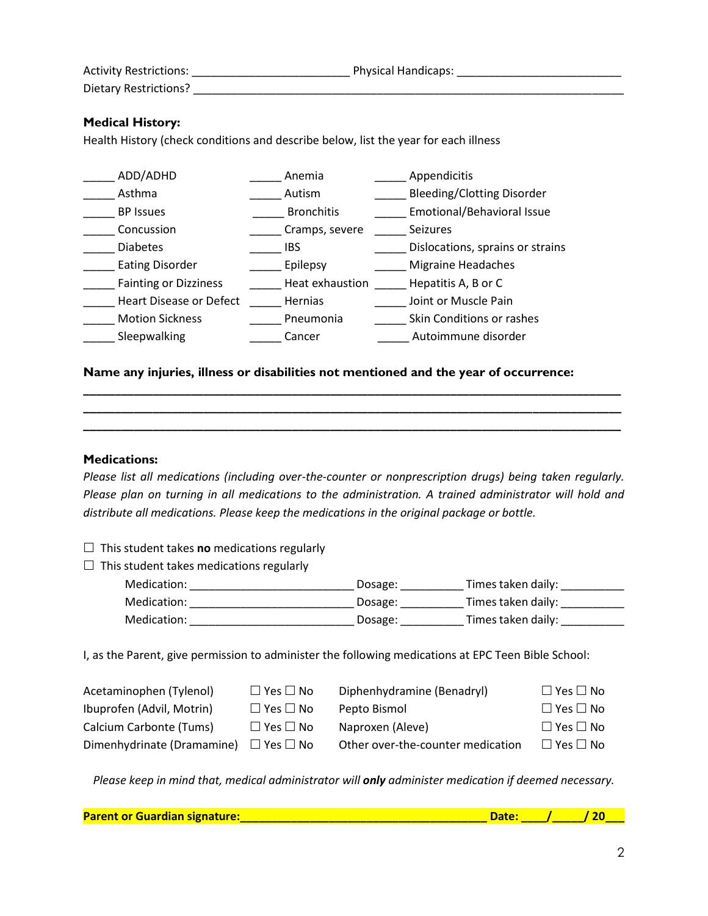| <b>Activity Restrictions:</b> | <b>Physical Handicaps:</b> |
|-------------------------------|----------------------------|
| Dietary Restrictions?         |                            |

## **Medical History:**

Health History (check conditions and describe below, list the year for each illness

| ADD/ADHD                     | Anemia            | Appendicitis                      |
|------------------------------|-------------------|-----------------------------------|
| Asthma                       | Autism            | <b>Bleeding/Clotting Disorder</b> |
| <b>BP</b> Issues             | <b>Bronchitis</b> | Emotional/Behavioral Issue        |
| Concussion                   | Cramps, severe    | <b>Seizures</b>                   |
| <b>Diabetes</b>              | <b>IBS</b>        | Dislocations, sprains or strains  |
| <b>Eating Disorder</b>       | Epilepsy          | <b>Migraine Headaches</b>         |
| <b>Fainting or Dizziness</b> | Heat exhaustion   | Hepatitis A, B or C               |
| Heart Disease or Defect      | <b>Hernias</b>    | Joint or Muscle Pain              |
| <b>Motion Sickness</b>       | Pneumonia         | Skin Conditions or rashes         |
| Sleepwalking                 | Cancer            | Autoimmune disorder               |

#### **Name any injuries, illness or disabilities not mentioned and the year of occurrence:**

#### **Medications:**

*Please list all medications (including over-the-counter or nonprescription drugs) being taken regularly. Please plan on turning in all medications to the administration. A trained administrator will hold and distribute all medications. Please keep the medications in the original package or bottle.*

**\_\_\_\_\_\_\_\_\_\_\_\_\_\_\_\_\_\_\_\_\_\_\_\_\_\_\_\_\_\_\_\_\_\_\_\_\_\_\_\_\_\_\_\_\_\_\_\_\_\_\_\_\_\_\_\_\_\_\_\_\_\_\_\_\_\_\_\_\_\_\_\_\_\_\_\_\_\_\_\_\_\_\_\_\_ \_\_\_\_\_\_\_\_\_\_\_\_\_\_\_\_\_\_\_\_\_\_\_\_\_\_\_\_\_\_\_\_\_\_\_\_\_\_\_\_\_\_\_\_\_\_\_\_\_\_\_\_\_\_\_\_\_\_\_\_\_\_\_\_\_\_\_\_\_\_\_\_\_\_\_\_\_\_\_\_\_\_\_\_\_ \_\_\_\_\_\_\_\_\_\_\_\_\_\_\_\_\_\_\_\_\_\_\_\_\_\_\_\_\_\_\_\_\_\_\_\_\_\_\_\_\_\_\_\_\_\_\_\_\_\_\_\_\_\_\_\_\_\_\_\_\_\_\_\_\_\_\_\_\_\_\_\_\_\_\_\_\_\_\_\_\_\_\_\_\_**

- $\Box$  This student takes **no** medications regularly
- $\Box$  This student takes medications regularly

| Medication: | Dosage: | Times taken daily: |
|-------------|---------|--------------------|
| Medication: | Dosage: | Times taken daily: |
| Medication: | Dosage: | Times taken daily: |

I, as the Parent, give permission to administer the following medications at EPC Teen Bible School:

| Acetaminophen (Tylenol)                         | $\Box$ Yes $\Box$ No | Diphenhydramine (Benadryl)        | $\Box$ Yes $\Box$ No |
|-------------------------------------------------|----------------------|-----------------------------------|----------------------|
| Ibuprofen (Advil, Motrin)                       | $\Box$ Yes $\Box$ No | Pepto Bismol                      | $\Box$ Yes $\Box$ No |
| Calcium Carbonte (Tums)                         | $\Box$ Yes $\Box$ No | Naproxen (Aleve)                  | $\Box$ Yes $\Box$ No |
| Dimenhydrinate (Dramamine) $\Box$ Yes $\Box$ No |                      | Other over-the-counter medication | $\Box$ Yes $\Box$ No |

*Please keep in mind that, medical administrator will only administer medication if deemed necessary.*

| <b>Parent or Guardian signature:</b> |  |  |
|--------------------------------------|--|--|
|                                      |  |  |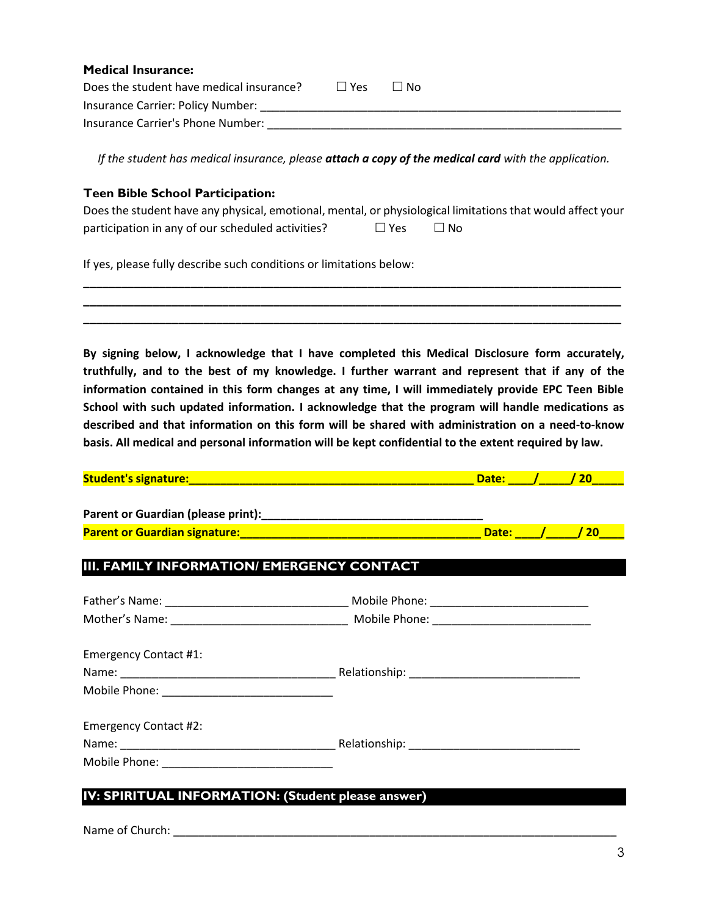| <b>Medical Insurance:</b>                |           |      |
|------------------------------------------|-----------|------|
| Does the student have medical insurance? | $ $   Yes | ∣ No |
| Insurance Carrier: Policy Number:        |           |      |
| Insurance Carrier's Phone Number:        |           |      |

*If the student has medical insurance, please attach a copy of the medical card with the application.*

## **Teen Bible School Participation:**

| Does the student have any physical, emotional, mental, or physiological limitations that would affect your |            |      |
|------------------------------------------------------------------------------------------------------------|------------|------|
| participation in any of our scheduled activities?                                                          | $\Box$ Yes | ⊟ No |

**\_\_\_\_\_\_\_\_\_\_\_\_\_\_\_\_\_\_\_\_\_\_\_\_\_\_\_\_\_\_\_\_\_\_\_\_\_\_\_\_\_\_\_\_\_\_\_\_\_\_\_\_\_\_\_\_\_\_\_\_\_\_\_\_\_\_\_\_\_\_\_\_\_\_\_\_\_\_\_\_\_\_\_\_\_ \_\_\_\_\_\_\_\_\_\_\_\_\_\_\_\_\_\_\_\_\_\_\_\_\_\_\_\_\_\_\_\_\_\_\_\_\_\_\_\_\_\_\_\_\_\_\_\_\_\_\_\_\_\_\_\_\_\_\_\_\_\_\_\_\_\_\_\_\_\_\_\_\_\_\_\_\_\_\_\_\_\_\_\_\_ \_\_\_\_\_\_\_\_\_\_\_\_\_\_\_\_\_\_\_\_\_\_\_\_\_\_\_\_\_\_\_\_\_\_\_\_\_\_\_\_\_\_\_\_\_\_\_\_\_\_\_\_\_\_\_\_\_\_\_\_\_\_\_\_\_\_\_\_\_\_\_\_\_\_\_\_\_\_\_\_\_\_\_\_\_**

If yes, please fully describe such conditions or limitations below:

**By signing below, I acknowledge that I have completed this Medical Disclosure form accurately, truthfully, and to the best of my knowledge. I further warrant and represent that if any of the information contained in this form changes at any time, I will immediately provide EPC Teen Bible School with such updated information. I acknowledge that the program will handle medications as described and that information on this form will be shared with administration on a need-to-know basis. All medical and personal information will be kept confidential to the extent required by law.**

| <b>Student's signature:</b> |  |  |
|-----------------------------|--|--|
|                             |  |  |

| Parent or Guardian (please print):   |         |  |
|--------------------------------------|---------|--|
| <b>Parent or Guardian signature:</b> | Date: / |  |

## **III. FAMILY INFORMATION/ EMERGENCY CONTACT**

| <b>Emergency Contact #1:</b> |  |  |
|------------------------------|--|--|
| <b>Emergency Contact #2:</b> |  |  |

## **IV: SPIRITUAL INFORMATION: (Student please answer)**

Name of Church: \_\_\_\_\_\_\_\_\_\_\_\_\_\_\_\_\_\_\_\_\_\_\_\_\_\_\_\_\_\_\_\_\_\_\_\_\_\_\_\_\_\_\_\_\_\_\_\_\_\_\_\_\_\_\_\_\_\_\_\_\_\_\_\_\_\_\_\_\_\_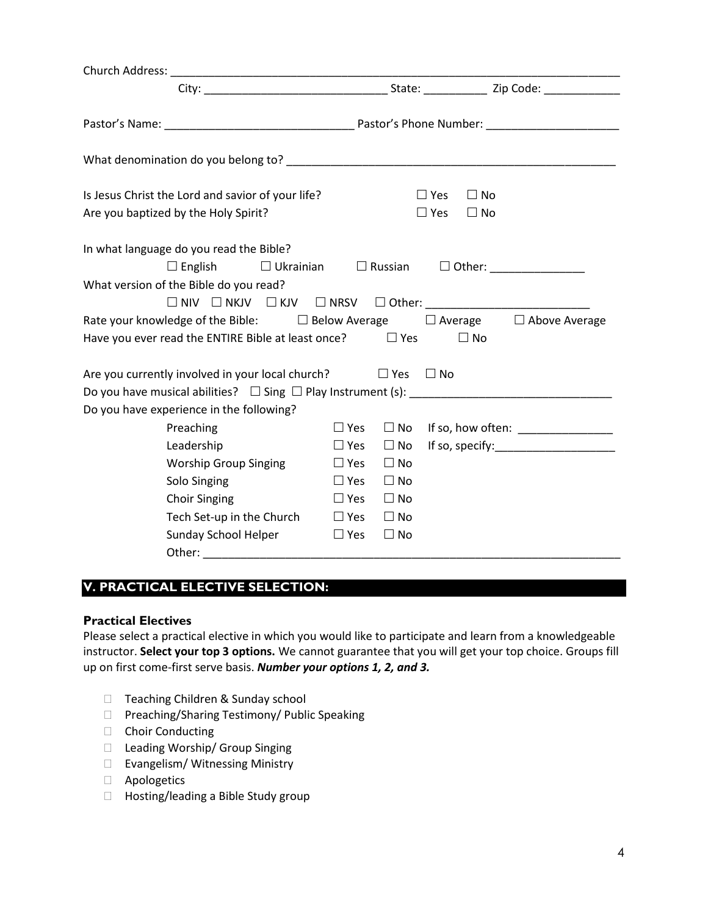| What denomination do you belong to? example a series of the series of the series of the series of the series of the series of the series of the series of the series of the series of the series of the series of the series o |                                 |                |                                                                                                                                                                                                                                                                                            |
|--------------------------------------------------------------------------------------------------------------------------------------------------------------------------------------------------------------------------------|---------------------------------|----------------|--------------------------------------------------------------------------------------------------------------------------------------------------------------------------------------------------------------------------------------------------------------------------------------------|
| Is Jesus Christ the Lord and savior of your life?                                                                                                                                                                              |                                 |                | $\Box$ Yes<br>$\Box$ No                                                                                                                                                                                                                                                                    |
| Are you baptized by the Holy Spirit?                                                                                                                                                                                           |                                 |                | $\Box$ Yes<br>$\Box$ No                                                                                                                                                                                                                                                                    |
| In what language do you read the Bible?                                                                                                                                                                                        |                                 |                |                                                                                                                                                                                                                                                                                            |
| $\Box$ English<br>$\Box$ Ukrainian                                                                                                                                                                                             |                                 | $\Box$ Russian | $\Box$ Other: _______________                                                                                                                                                                                                                                                              |
| What version of the Bible do you read?                                                                                                                                                                                         |                                 |                |                                                                                                                                                                                                                                                                                            |
|                                                                                                                                                                                                                                |                                 |                |                                                                                                                                                                                                                                                                                            |
| Rate your knowledge of the Bible: $\Box$ Below Average $\Box$ Average $\Box$ Above Average                                                                                                                                     |                                 |                |                                                                                                                                                                                                                                                                                            |
| Have you ever read the ENTIRE Bible at least once? $\Box$ Yes                                                                                                                                                                  |                                 |                | $\Box$ No                                                                                                                                                                                                                                                                                  |
| Are you currently involved in your local church? $\Box$ Yes                                                                                                                                                                    |                                 |                | $\Box$ No                                                                                                                                                                                                                                                                                  |
|                                                                                                                                                                                                                                |                                 |                |                                                                                                                                                                                                                                                                                            |
| Do you have experience in the following?                                                                                                                                                                                       |                                 |                |                                                                                                                                                                                                                                                                                            |
| Preaching                                                                                                                                                                                                                      | $\Box$ Yes                      | $\square$ No   | If so, how often: $\frac{1}{2}$ and $\frac{1}{2}$ and $\frac{1}{2}$ and $\frac{1}{2}$ and $\frac{1}{2}$ and $\frac{1}{2}$ and $\frac{1}{2}$ and $\frac{1}{2}$ and $\frac{1}{2}$ and $\frac{1}{2}$ and $\frac{1}{2}$ and $\frac{1}{2}$ and $\frac{1}{2}$ and $\frac{1}{2}$ and $\frac{1}{2$ |
| Leadership                                                                                                                                                                                                                     | $\Box$ Yes                      | $\Box$ No      |                                                                                                                                                                                                                                                                                            |
| <b>Worship Group Singing</b>                                                                                                                                                                                                   | $\Box$ Yes                      | $\Box$ No      |                                                                                                                                                                                                                                                                                            |
| Solo Singing                                                                                                                                                                                                                   | $\Box$ Yes                      | $\Box$ No      |                                                                                                                                                                                                                                                                                            |
| <b>Choir Singing</b>                                                                                                                                                                                                           | $\Box$ Yes                      | $\Box$ No      |                                                                                                                                                                                                                                                                                            |
| Tech Set-up in the Church                                                                                                                                                                                                      | $\Box$ Yes                      | $\Box$ No      |                                                                                                                                                                                                                                                                                            |
| Sunday School Helper                                                                                                                                                                                                           | Des Die Vestas Die Vestas Die S | $\Box$ No      |                                                                                                                                                                                                                                                                                            |
|                                                                                                                                                                                                                                |                                 |                |                                                                                                                                                                                                                                                                                            |

# **V. PRACTICAL ELECTIVE SELECTION:**

#### **Practical Electives**

Please select a practical elective in which you would like to participate and learn from a knowledgeable instructor. **Select your top 3 options.** We cannot guarantee that you will get your top choice. Groups fill up on first come-first serve basis. *Number your options 1, 2, and 3.*

- □ Teaching Children & Sunday school
- □ Preaching/Sharing Testimony/ Public Speaking
- Choir Conducting
- □ Leading Worship/ Group Singing
- □ Evangelism/ Witnessing Ministry
- Apologetics
- □ Hosting/leading a Bible Study group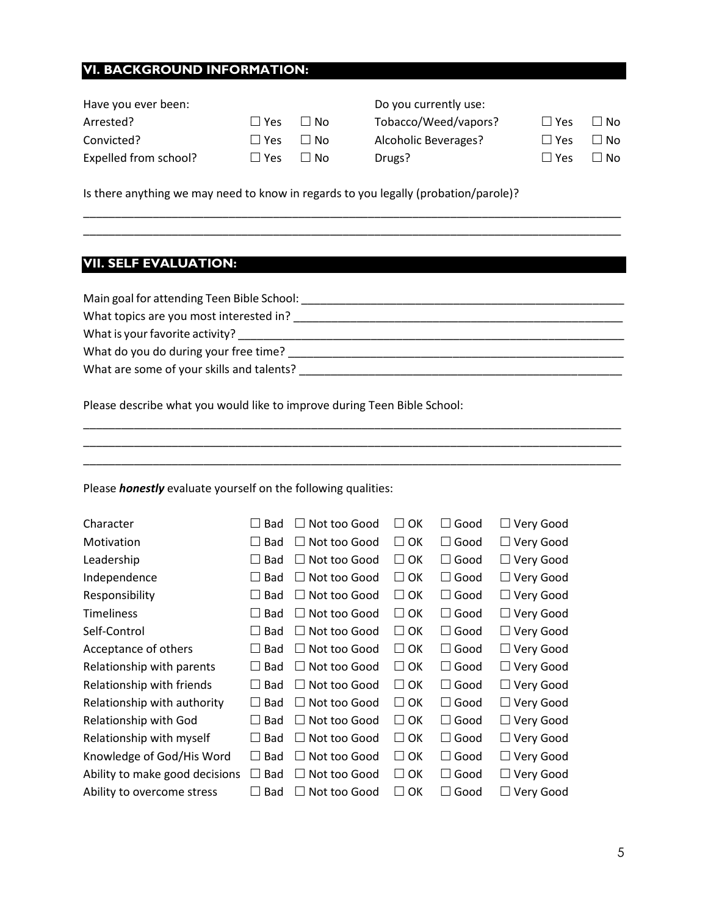## **VI. BACKGROUND INFORMATION:**

| Have you ever been:   |               |      | Do you currently use: |            |           |
|-----------------------|---------------|------|-----------------------|------------|-----------|
| Arrested?             | $\Box$ Yes    | ⊟ No | Tobacco/Weed/vapors?  | $\Box$ Yes | $\Box$ No |
| Convicted?            | $\square$ Yes | ⊟ No | Alcoholic Beverages?  | $\Box$ Yes | $\Box$ No |
| Expelled from school? | $\Box$ Yes    | ⊟ No | Drugs?                | $\Box$ Yes | $\Box$ No |
|                       |               |      |                       |            |           |

\_\_\_\_\_\_\_\_\_\_\_\_\_\_\_\_\_\_\_\_\_\_\_\_\_\_\_\_\_\_\_\_\_\_\_\_\_\_\_\_\_\_\_\_\_\_\_\_\_\_\_\_\_\_\_\_\_\_\_\_\_\_\_\_\_\_\_\_\_\_\_\_\_\_\_\_\_\_\_\_\_\_\_\_\_ \_\_\_\_\_\_\_\_\_\_\_\_\_\_\_\_\_\_\_\_\_\_\_\_\_\_\_\_\_\_\_\_\_\_\_\_\_\_\_\_\_\_\_\_\_\_\_\_\_\_\_\_\_\_\_\_\_\_\_\_\_\_\_\_\_\_\_\_\_\_\_\_\_\_\_\_\_\_\_\_\_\_\_\_\_

\_\_\_\_\_\_\_\_\_\_\_\_\_\_\_\_\_\_\_\_\_\_\_\_\_\_\_\_\_\_\_\_\_\_\_\_\_\_\_\_\_\_\_\_\_\_\_\_\_\_\_\_\_\_\_\_\_\_\_\_\_\_\_\_\_\_\_\_\_\_\_\_\_\_\_\_\_\_\_\_\_\_\_\_\_ \_\_\_\_\_\_\_\_\_\_\_\_\_\_\_\_\_\_\_\_\_\_\_\_\_\_\_\_\_\_\_\_\_\_\_\_\_\_\_\_\_\_\_\_\_\_\_\_\_\_\_\_\_\_\_\_\_\_\_\_\_\_\_\_\_\_\_\_\_\_\_\_\_\_\_\_\_\_\_\_\_\_\_\_\_ \_\_\_\_\_\_\_\_\_\_\_\_\_\_\_\_\_\_\_\_\_\_\_\_\_\_\_\_\_\_\_\_\_\_\_\_\_\_\_\_\_\_\_\_\_\_\_\_\_\_\_\_\_\_\_\_\_\_\_\_\_\_\_\_\_\_\_\_\_\_\_\_\_\_\_\_\_\_\_\_\_\_\_\_\_

Is there anything we may need to know in regards to you legally (probation/parole)?

## **VII. SELF EVALUATION:**

Main goal for attending Teen Bible School: \_\_\_\_\_\_\_\_\_\_\_\_\_\_\_\_\_\_\_\_\_\_\_\_\_\_\_\_\_\_\_\_\_\_\_\_\_\_\_\_\_\_\_\_\_\_\_\_\_\_\_

What topics are you most interested in? \_\_\_\_\_\_\_\_\_\_\_\_\_\_\_\_\_\_\_\_\_\_\_\_\_\_\_\_\_\_\_\_\_\_\_\_\_\_\_\_\_\_\_\_\_\_\_\_\_\_\_\_

What is your favorite activity? \_\_\_\_\_\_\_\_\_\_\_\_\_\_\_\_\_\_\_\_\_\_\_\_\_\_\_\_\_\_\_\_\_\_\_\_\_\_\_\_\_\_\_\_\_\_\_\_\_\_\_\_\_\_\_\_\_\_\_\_\_ What do you do during your free time? \_\_\_\_\_\_\_\_\_\_\_\_\_\_\_\_\_\_\_\_\_\_\_\_\_\_\_\_\_\_\_\_\_\_\_\_\_\_\_\_\_\_\_\_\_\_\_\_\_\_\_\_\_

What are some of your skills and talents? **What are some of your skills** and talents?

Please describe what you would like to improve during Teen Bible School:

Please *honestly* evaluate yourself on the following qualities:

| Character                      | <b>Bad</b><br>$\mathsf{L}$ | Not too Good<br>$\perp$ | OK<br>$\perp$ | Good<br>$\Box$       | $\Box$ Very Good |
|--------------------------------|----------------------------|-------------------------|---------------|----------------------|------------------|
| Motivation                     | <b>Bad</b>                 | Not too Good            | OK<br>$\Box$  | $\Box$ Good          | $\Box$ Very Good |
| Leadership                     | <b>Bad</b>                 | Not too Good<br>$\perp$ | OK<br>$\perp$ | $\Box$ Good          | $\Box$ Very Good |
| Independence                   | <b>Bad</b>                 | Not too Good<br>$\perp$ | $\Box$ OK     | Good<br>$\Box$       | $\Box$ Very Good |
| Responsibility                 | <b>Bad</b>                 | Not too Good<br>$\perp$ | $\Box$ OK     | $\Box$ Good          | $\Box$ Very Good |
| <b>Timeliness</b>              | <b>Bad</b>                 | Not too Good<br>$\Box$  | $\Box$ OK     | $\Box$ Good          | $\Box$ Very Good |
| Self-Control                   | <b>Bad</b>                 | Not too Good            | OK<br>$\Box$  | $\Box$ Good          | $\Box$ Very Good |
| Acceptance of others           | <b>Bad</b>                 | Not too Good<br>$\perp$ | $\Box$ OK     | $\Box$ Good          | $\Box$ Very Good |
| Relationship with parents      | <b>Bad</b>                 | Not too Good<br>$\Box$  | $\Box$ OK     | $\Box$ Good          | $\Box$ Very Good |
| Relationship with friends      | <b>Bad</b>                 | Not too Good            | OK<br>$\perp$ | Good<br>$\Box$       | $\Box$ Very Good |
| Relationship with authority    | <b>Bad</b>                 | Not too Good<br>$\perp$ | OK<br>$\Box$  | $\Box$ Good          | $\Box$ Very Good |
| Relationship with God          | <b>Bad</b>                 | Not too Good<br>$\perp$ | $\Box$ OK     | $\Box$ Good          | $\Box$ Very Good |
| Relationship with myself       | <b>Bad</b>                 | Not too Good            | OK<br>$\perp$ | $\Box$ Good          | $\Box$ Very Good |
| Knowledge of God/His Word      | <b>Bad</b>                 | Not too Good<br>$\perp$ | OK<br>$\Box$  | $\Box$ Good          | $\Box$ Very Good |
| Ability to make good decisions | <b>Bad</b>                 | Not too Good            | OK<br>$\Box$  | Good<br>$\perp$      | $\Box$ Very Good |
| Ability to overcome stress     | <b>Bad</b>                 | Not too Good            | OK            | Good<br>$\mathsf{L}$ | $\Box$ Very Good |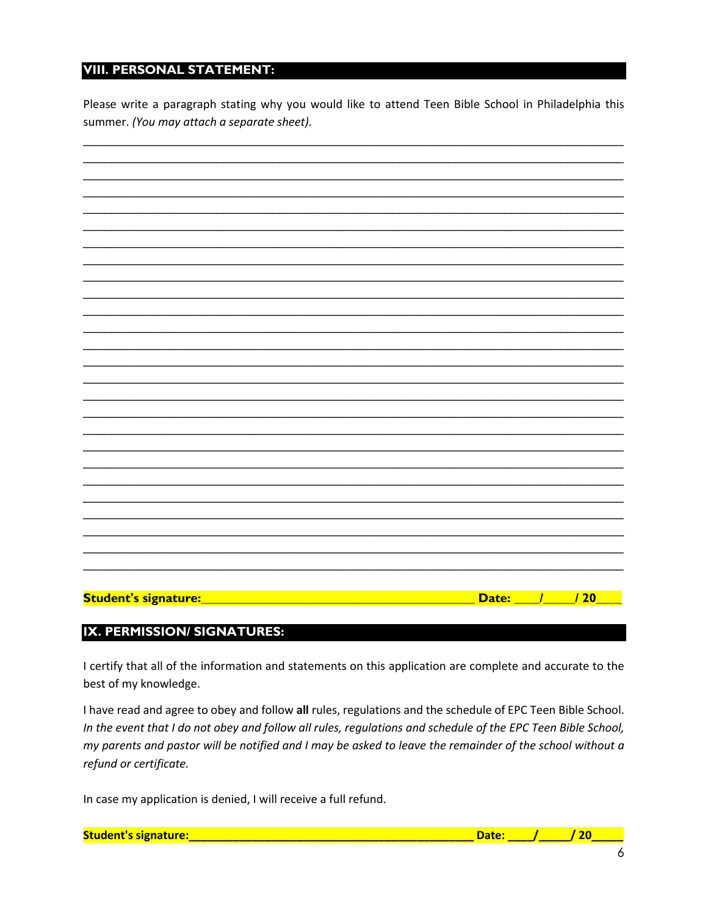# **VIII. PERSONAL STATEMENT:**

Please write a paragraph stating why you would like to attend Teen Bible School in Philadelphia this summer. (You may attach a separate sheet).

| Student's signature:<br>/20<br>Date: $\frac{1}{\sqrt{2}}$<br><b>Contract Contract Contract Contract Contract Contract Contract Contract Contract Contract Contract Contract Co</b> |  |  |
|------------------------------------------------------------------------------------------------------------------------------------------------------------------------------------|--|--|
|                                                                                                                                                                                    |  |  |
|                                                                                                                                                                                    |  |  |
|                                                                                                                                                                                    |  |  |
|                                                                                                                                                                                    |  |  |
|                                                                                                                                                                                    |  |  |
|                                                                                                                                                                                    |  |  |
|                                                                                                                                                                                    |  |  |
|                                                                                                                                                                                    |  |  |
|                                                                                                                                                                                    |  |  |
|                                                                                                                                                                                    |  |  |
|                                                                                                                                                                                    |  |  |
|                                                                                                                                                                                    |  |  |
|                                                                                                                                                                                    |  |  |
|                                                                                                                                                                                    |  |  |
|                                                                                                                                                                                    |  |  |
|                                                                                                                                                                                    |  |  |
|                                                                                                                                                                                    |  |  |
|                                                                                                                                                                                    |  |  |
|                                                                                                                                                                                    |  |  |
|                                                                                                                                                                                    |  |  |
|                                                                                                                                                                                    |  |  |
|                                                                                                                                                                                    |  |  |
|                                                                                                                                                                                    |  |  |
|                                                                                                                                                                                    |  |  |
|                                                                                                                                                                                    |  |  |
|                                                                                                                                                                                    |  |  |
|                                                                                                                                                                                    |  |  |
|                                                                                                                                                                                    |  |  |
|                                                                                                                                                                                    |  |  |
|                                                                                                                                                                                    |  |  |
|                                                                                                                                                                                    |  |  |
|                                                                                                                                                                                    |  |  |

## IX. PERMISSION/ SIGNATURES:

I certify that all of the information and statements on this application are complete and accurate to the best of my knowledge.

I have read and agree to obey and follow all rules, regulations and the schedule of EPC Teen Bible School. In the event that I do not obey and follow all rules, regulations and schedule of the EPC Teen Bible School, my parents and pastor will be notified and I may be asked to leave the remainder of the school without a refund or certificate.

In case my application is denied, I will receive a full refund.

| <b>Student's signature:</b> |  |
|-----------------------------|--|
|                             |  |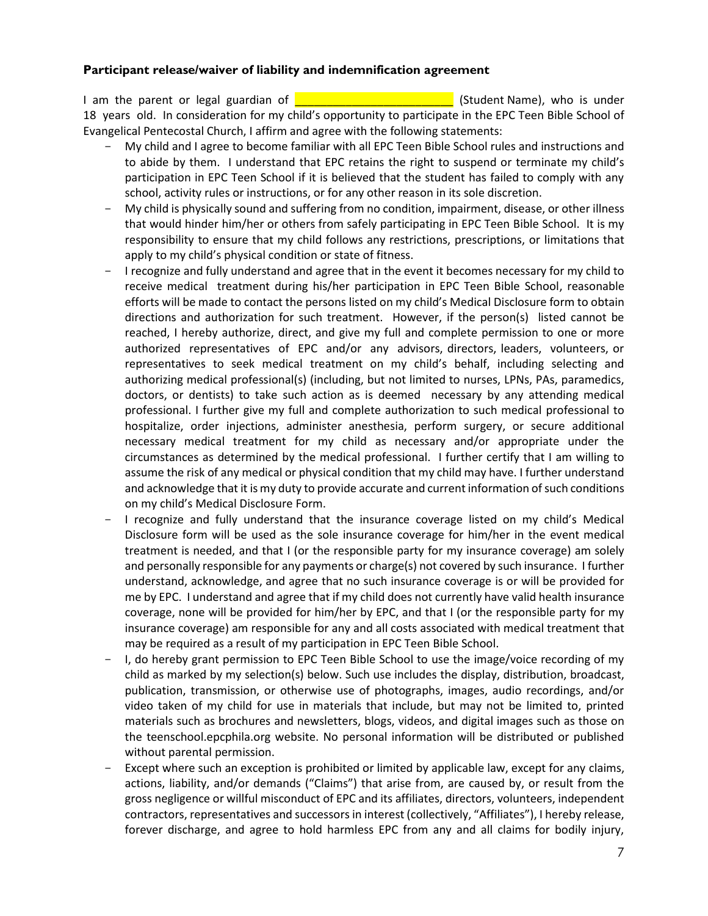#### **Participant release/waiver of liability and indemnification agreement**

I am the parent or legal guardian of **EXECUTE:** (Student Name), who is under 18 years old. In consideration for my child's opportunity to participate in the EPC Teen Bible School of Evangelical Pentecostal Church, I affirm and agree with the following statements:

- My child and I agree to become familiar with all EPC Teen Bible School rules and instructions and to abide by them. I understand that EPC retains the right to suspend or terminate my child's participation in EPC Teen School if it is believed that the student has failed to comply with any school, activity rules or instructions, or for any other reason in its sole discretion.
- My child is physically sound and suffering from no condition, impairment, disease, or other illness that would hinder him/her or others from safely participating in EPC Teen Bible School. It is my responsibility to ensure that my child follows any restrictions, prescriptions, or limitations that apply to my child's physical condition or state of fitness.
- I recognize and fully understand and agree that in the event it becomes necessary for my child to receive medical treatment during his/her participation in EPC Teen Bible School, reasonable efforts will be made to contact the persons listed on my child's Medical Disclosure form to obtain directions and authorization for such treatment. However, if the person(s) listed cannot be reached, I hereby authorize, direct, and give my full and complete permission to one or more authorized representatives of EPC and/or any advisors, directors, leaders, volunteers, or representatives to seek medical treatment on my child's behalf, including selecting and authorizing medical professional(s) (including, but not limited to nurses, LPNs, PAs, paramedics, doctors, or dentists) to take such action as is deemed necessary by any attending medical professional. I further give my full and complete authorization to such medical professional to hospitalize, order injections, administer anesthesia, perform surgery, or secure additional necessary medical treatment for my child as necessary and/or appropriate under the circumstances as determined by the medical professional. I further certify that I am willing to assume the risk of any medical or physical condition that my child may have. I further understand and acknowledge that it is my duty to provide accurate and current information of such conditions on my child's Medical Disclosure Form.
- I recognize and fully understand that the insurance coverage listed on my child's Medical Disclosure form will be used as the sole insurance coverage for him/her in the event medical treatment is needed, and that I (or the responsible party for my insurance coverage) am solely and personally responsible for any payments or charge(s) not covered by such insurance. I further understand, acknowledge, and agree that no such insurance coverage is or will be provided for me by EPC. I understand and agree that if my child does not currently have valid health insurance coverage, none will be provided for him/her by EPC, and that I (or the responsible party for my insurance coverage) am responsible for any and all costs associated with medical treatment that may be required as a result of my participation in EPC Teen Bible School.
- I, do hereby grant permission to EPC Teen Bible School to use the image/voice recording of my child as marked by my selection(s) below. Such use includes the display, distribution, broadcast, publication, transmission, or otherwise use of photographs, images, audio recordings, and/or video taken of my child for use in materials that include, but may not be limited to, printed materials such as brochures and newsletters, blogs, videos, and digital images such as those on the teenschool.epcphila.org website. No personal information will be distributed or published without parental permission.
- Except where such an exception is prohibited or limited by applicable law, except for any claims, actions, liability, and/or demands ("Claims") that arise from, are caused by, or result from the gross negligence or willful misconduct of EPC and its affiliates, directors, volunteers, independent contractors, representatives and successors in interest (collectively, "Affiliates"), I hereby release, forever discharge, and agree to hold harmless EPC from any and all claims for bodily injury,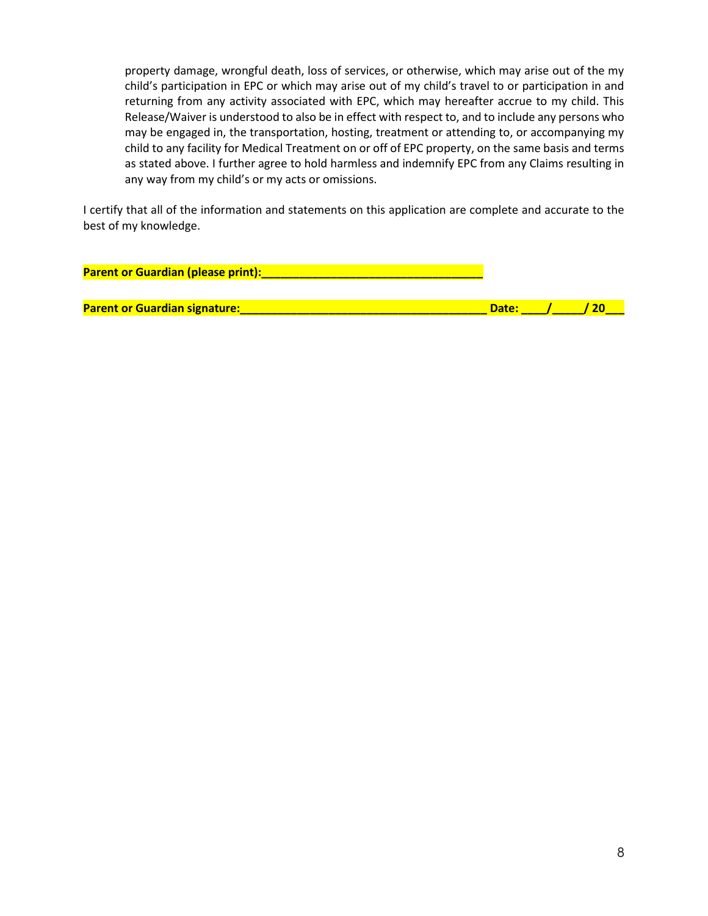property damage, wrongful death, loss of services, or otherwise, which may arise out of the my child's participation in EPC or which may arise out of my child's travel to or participation in and returning from any activity associated with EPC, which may hereafter accrue to my child. This Release/Waiver is understood to also be in effect with respect to, and to include any persons who may be engaged in, the transportation, hosting, treatment or attending to, or accompanying my child to any facility for Medical Treatment on or off of EPC property, on the same basis and terms as stated above. I further agree to hold harmless and indemnify EPC from any Claims resulting in any way from my child's or my acts or omissions.

I certify that all of the information and statements on this application are complete and accurate to the best of my knowledge.

**Parent or Guardian (please print):\_\_\_\_\_\_\_\_\_\_\_\_\_\_\_\_\_\_\_\_\_\_\_\_\_\_\_\_\_\_\_\_\_\_\_**

**Parent or Guardian signature: Contained a structure of the structure of the Second Library of the Second Library (20**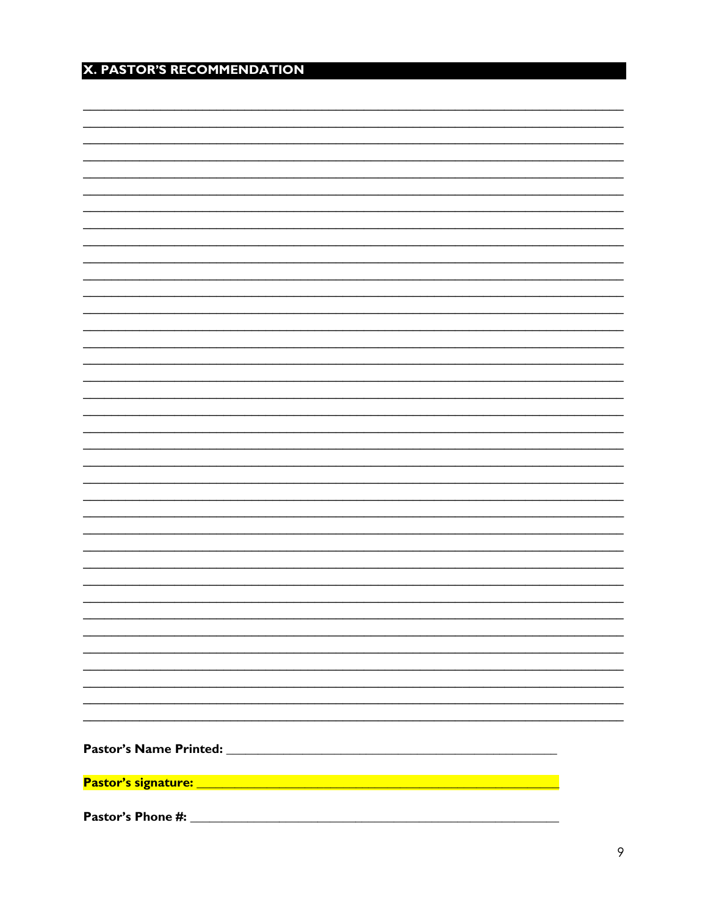# X. PASTOR'S RECOMMENDATION

| Pastor's Phone #: |  |  |
|-------------------|--|--|